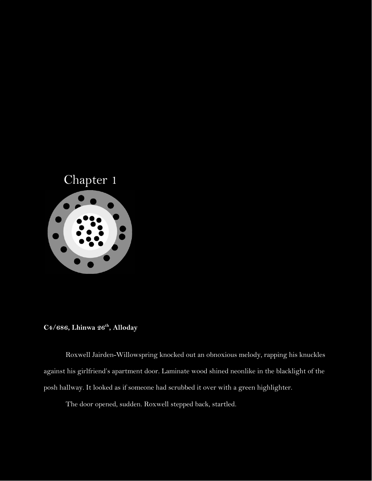

## **C4/686, Lhinwa 26th , Alloday**

Roxwell Jairden-Willowspring knocked out an obnoxious melody, rapping his knuckles against his girlfriend's apartment door. Laminate wood shined neonlike in the blacklight of the posh hallway. It looked as if someone had scrubbed it over with a green highlighter.

The door opened, sudden. Roxwell stepped back, startled.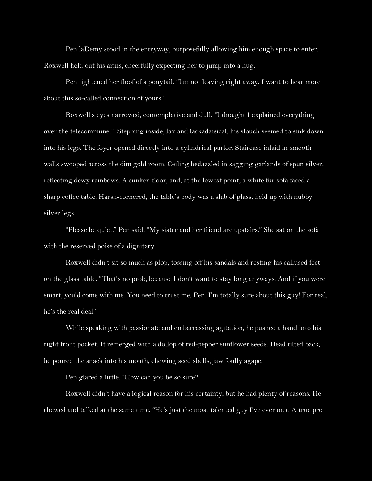Pen laDemy stood in the entryway, purposefully allowing him enough space to enter. Roxwell held out his arms, cheerfully expecting her to jump into a hug.

Pen tightened her floof of a ponytail. "I'm not leaving right away. I want to hear more about this so-called connection of yours."

Roxwell's eyes narrowed, contemplative and dull. "I thought I explained everything over the telecommune." Stepping inside, lax and lackadaisical, his slouch seemed to sink down into his legs. The foyer opened directly into a cylindrical parlor. Staircase inlaid in smooth walls swooped across the dim gold room. Ceiling bedazzled in sagging garlands of spun silver, reflecting dewy rainbows. A sunken floor, and, at the lowest point, a white fur sofa faced a sharp coffee table. Harsh-cornered, the table's body was a slab of glass, held up with nubby silver legs.

"Please be quiet." Pen said. "My sister and her friend are upstairs." She sat on the sofa with the reserved poise of a dignitary.

Roxwell didn't sit so much as plop, tossing off his sandals and resting his callused feet on the glass table. "That's no prob, because I don't want to stay long anyways. And if you were smart, you'd come with me. You need to trust me, Pen. I'm totally sure about this guy! For real, he's the real deal."

While speaking with passionate and embarrassing agitation, he pushed a hand into his right front pocket. It remerged with a dollop of red-pepper sunflower seeds. Head tilted back, he poured the snack into his mouth, chewing seed shells, jaw foully agape.

Pen glared a little. "How can you be so sure?"

Roxwell didn't have a logical reason for his certainty, but he had plenty of reasons. He chewed and talked at the same time. "He's just the most talented guy I've ever met. A true pro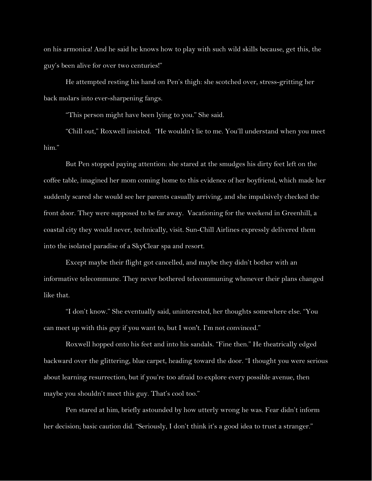on his armonica! And he said he knows how to play with such wild skills because, get this, the guy's been alive for over two centuries!"

He attempted resting his hand on Pen's thigh: she scotched over, stress-gritting her back molars into ever-sharpening fangs.

"This person might have been lying to you." She said.

"Chill out," Roxwell insisted. "He wouldn't lie to me. You'll understand when you meet him."

But Pen stopped paying attention: she stared at the smudges his dirty feet left on the coffee table, imagined her mom coming home to this evidence of her boyfriend, which made her suddenly scared she would see her parents casually arriving, and she impulsively checked the front door. They were supposed to be far away. Vacationing for the weekend in Greenhill, a coastal city they would never, technically, visit. Sun-Chill Airlines expressly delivered them into the isolated paradise of a SkyClear spa and resort.

Except maybe their flight got cancelled, and maybe they didn't bother with an informative telecommune. They never bothered telecommuning whenever their plans changed like that.

"I don't know." She eventually said, uninterested, her thoughts somewhere else. "You can meet up with this guy if you want to, but I won't. I'm not convinced."

Roxwell hopped onto his feet and into his sandals. "Fine then." He theatrically edged backward over the glittering, blue carpet, heading toward the door. "I thought you were serious about learning resurrection, but if you're too afraid to explore every possible avenue, then maybe you shouldn't meet this guy. That's cool too."

Pen stared at him, briefly astounded by how utterly wrong he was. Fear didn't inform her decision; basic caution did. "Seriously, I don't think it's a good idea to trust a stranger."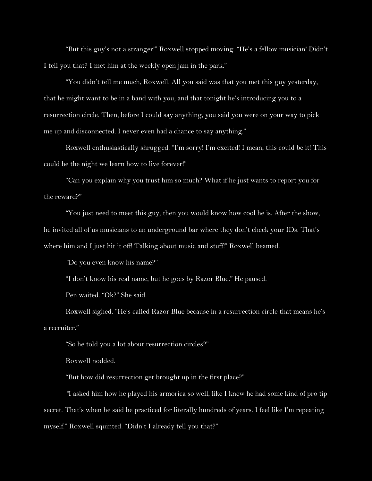"But this guy's not a stranger!" Roxwell stopped moving. "He's a fellow musician! Didn't I tell you that? I met him at the weekly open jam in the park."

"You didn't tell me much, Roxwell. All you said was that you met this guy yesterday, that he might want to be in a band with you, and that tonight he's introducing you to a resurrection circle. Then, before I could say anything, you said you were on your way to pick me up and disconnected. I never even had a chance to say anything."

Roxwell enthusiastically shrugged. "I'm sorry! I'm excited! I mean, this could be it! This could be the night we learn how to live forever!"

"Can you explain why you trust him so much? What if he just wants to report you for the reward?"

"You just need to meet this guy, then you would know how cool he is. After the show, he invited all of us musicians to an underground bar where they don't check your IDs. That's where him and I just hit it off! Talking about music and stuff!" Roxwell beamed.

*"*Do you even know his name?"

"I don't know his real name, but he goes by Razor Blue." He paused.

Pen waited. "Ok?" She said.

Roxwell sighed. "He's called Razor Blue because in a resurrection circle that means he's a recruiter."

"So he told you a lot about resurrection circles?"

Roxwell nodded.

"But how did resurrection get brought up in the first place?"

*"*I asked him how he played his armorica so well, like I knew he had some kind of pro tip secret. That's when he said he practiced for literally hundreds of years. I feel like I'm repeating myself." Roxwell squinted. "Didn't I already tell you that?"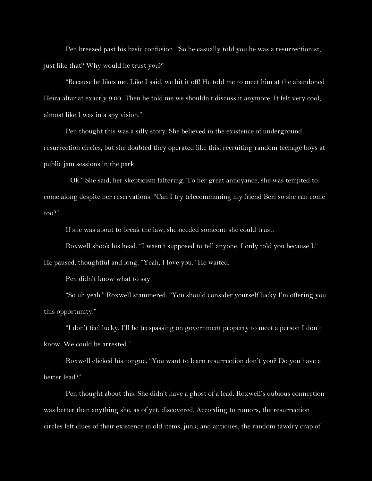Pen breezed past his basic confusion. "So he casually told you he was a resurrectionist, just like that? Why would he trust you?"

"Because he likes me. Like I said, we hit it off! He told me to meet him at the abandoned Heira altar at exactly 9:00. Then he told me we shouldn't discuss it anymore. It felt very cool, almost like I was in a spy vision."

Pen thought this was a silly story. She believed in the existence of underground resurrection circles, but she doubted they operated like this, recruiting random teenage boys at public jam sessions in the park.

 *"*Ok." She said, her skepticism faltering. To her great annoyance, she was tempted to come along despite her reservations. "Can I try telecommuning my friend Beri so she can come too?"

If she was about to break the law, she needed someone she could trust.

Roxwell shook his head. "I wasn't supposed to tell anyone. I only told you because I." He paused, thoughtful and long. "Yeah, I love you." He waited.

Pen didn't know what to say.

"So uh yeah." Roxwell stammered. "You should consider yourself lucky I'm offering you this opportunity."

"I don't feel lucky. I'll be trespassing on government property to meet a person I don't know. We could be arrested."

Roxwell clicked his tongue. "You want to learn resurrection don't you? Do you have a better lead?"

Pen thought about this. She didn't have a ghost of a lead. Roxwell's dubious connection was better than anything she, as of yet, discovered. According to rumors, the resurrection circles left clues of their existence in old items, junk, and antiques, the random tawdry crap of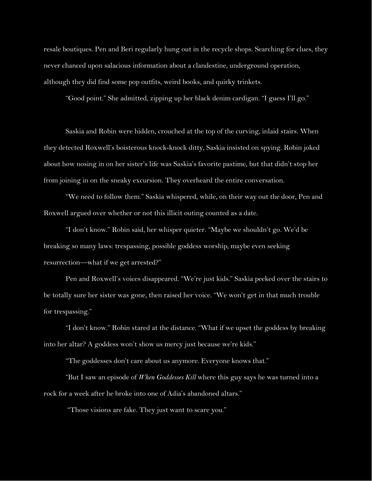resale boutiques. Pen and Beri regularly hung out in the recycle shops. Searching for clues, they never chanced upon salacious information about a clandestine, underground operation, although they did find some pop outfits, weird books, and quirky trinkets.

"Good point." She admitted, zipping up her black denim cardigan. "I guess I'll go."

Saskia and Robin were hidden, crouched at the top of the curving, inlaid stairs. When they detected Roxwell's boisterous knock-knock ditty, Saskia insisted on spying. Robin joked about how nosing in on her sister's life was Saskia's favorite pastime, but that didn't stop her from joining in on the sneaky excursion. They overheard the entire conversation.

"We need to follow them." Saskia whispered, while, on their way out the door, Pen and Roxwell argued over whether or not this illicit outing counted as a date.

"I don't know." Robin said, her whisper quieter. "Maybe we shouldn't go. We'd be breaking so many laws: trespassing, possible goddess worship, maybe even seeking resurrection—what if we get arrested?"

Pen and Roxwell's voices disappeared. "We're just kids." Saskia peeked over the stairs to be totally sure her sister was gone, then raised her voice. "We won't get in that much trouble for trespassing."

"I don't know." Robin stared at the distance. "What if we upset the goddess by breaking into her altar? A goddess won't show us mercy just because we're kids."

"The goddesses don't care about us anymore. Everyone knows that."

"But I saw an episode of *When Goddesses Kill* where this guy says he was turned into a rock for a week after he broke into one of Adia's abandoned altars."

"Those visions are fake. They just want to scare you."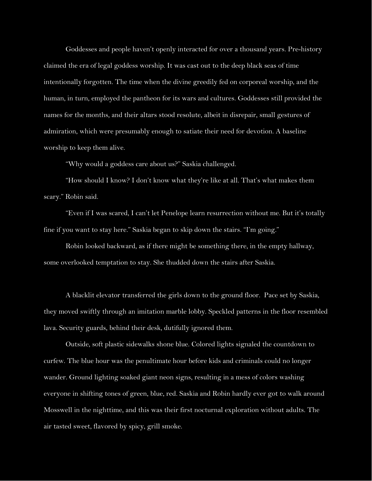Goddesses and people haven't openly interacted for over a thousand years. Pre-history claimed the era of legal goddess worship. It was cast out to the deep black seas of time intentionally forgotten. The time when the divine greedily fed on corporeal worship, and the human, in turn, employed the pantheon for its wars and cultures. Goddesses still provided the names for the months, and their altars stood resolute, albeit in disrepair, small gestures of admiration, which were presumably enough to satiate their need for devotion. A baseline worship to keep them alive.

"Why would a goddess care about us?" Saskia challenged.

"How should I know? I don't know what they're like at all. That's what makes them scary." Robin said.

"Even if I was scared, I can't let Penelope learn resurrection without me. But it's totally fine if you want to stay here." Saskia began to skip down the stairs. "I'm going."

Robin looked backward, as if there might be something there, in the empty hallway, some overlooked temptation to stay. She thudded down the stairs after Saskia.

A blacklit elevator transferred the girls down to the ground floor. Pace set by Saskia, they moved swiftly through an imitation marble lobby. Speckled patterns in the floor resembled lava. Security guards, behind their desk, dutifully ignored them.

Outside, soft plastic sidewalks shone blue. Colored lights signaled the countdown to curfew. The blue hour was the penultimate hour before kids and criminals could no longer wander. Ground lighting soaked giant neon signs, resulting in a mess of colors washing everyone in shifting tones of green, blue, red. Saskia and Robin hardly ever got to walk around Mosswell in the nighttime, and this was their first nocturnal exploration without adults. The air tasted sweet, flavored by spicy, grill smoke.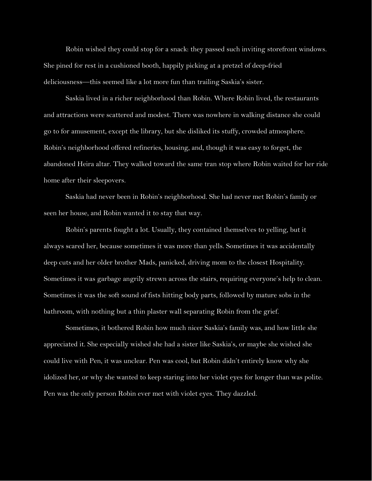Robin wished they could stop for a snack: they passed such inviting storefront windows. She pined for rest in a cushioned booth, happily picking at a pretzel of deep-fried deliciousness—this seemed like a lot more fun than trailing Saskia's sister.

Saskia lived in a richer neighborhood than Robin. Where Robin lived, the restaurants and attractions were scattered and modest. There was nowhere in walking distance she could go to for amusement, except the library, but she disliked its stuffy, crowded atmosphere. Robin's neighborhood offered refineries, housing, and, though it was easy to forget, the abandoned Heira altar. They walked toward the same tran stop where Robin waited for her ride home after their sleepovers.

Saskia had never been in Robin's neighborhood. She had never met Robin's family or seen her house, and Robin wanted it to stay that way.

Robin's parents fought a lot. Usually, they contained themselves to yelling, but it always scared her, because sometimes it was more than yells. Sometimes it was accidentally deep cuts and her older brother Mads, panicked, driving mom to the closest Hospitality. Sometimes it was garbage angrily strewn across the stairs, requiring everyone's help to clean. Sometimes it was the soft sound of fists hitting body parts, followed by mature sobs in the bathroom, with nothing but a thin plaster wall separating Robin from the grief.

Sometimes, it bothered Robin how much nicer Saskia's family was, and how little she appreciated it. She especially wished she had a sister like Saskia's, or maybe she wished she could live with Pen, it was unclear. Pen was cool, but Robin didn't entirely know why she idolized her, or why she wanted to keep staring into her violet eyes for longer than was polite. Pen was the only person Robin ever met with violet eyes. They dazzled.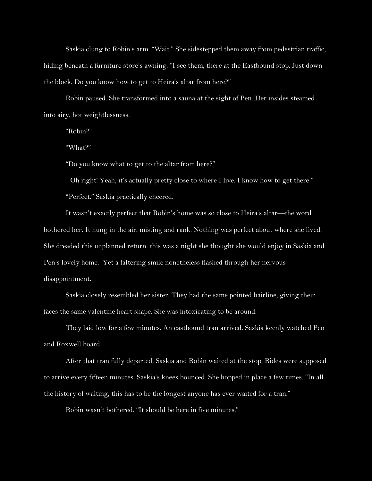Saskia clung to Robin's arm. "Wait." She sidestepped them away from pedestrian traffic, hiding beneath a furniture store's awning. "I see them, there at the Eastbound stop. Just down the block. Do you know how to get to Heira's altar from here?"

Robin paused. She transformed into a sauna at the sight of Pen. Her insides steamed into airy, hot weightlessness.

"Robin?"

"What?"

"Do you know what to get to the altar from here?"

*"*Oh right! Yeah, it's actually pretty close to where I live. I know how to get there."

**"**Perfect." Saskia practically cheered.

It wasn't exactly perfect that Robin's home was so close to Heira's altar—the word bothered her. It hung in the air, misting and rank. Nothing was perfect about where she lived. She dreaded this unplanned return: this was a night she thought she would enjoy in Saskia and Pen's lovely home. Yet a faltering smile nonetheless flashed through her nervous disappointment.

Saskia closely resembled her sister. They had the same pointed hairline, giving their faces the same valentine heart shape. She was intoxicating to be around.

They laid low for a few minutes. An eastbound tran arrived. Saskia keenly watched Pen and Roxwell board.

After that tran fully departed, Saskia and Robin waited at the stop. Rides were supposed to arrive every fifteen minutes. Saskia's knees bounced. She hopped in place a few times. "In all the history of waiting, this has to be the longest anyone has ever waited for a tran."

Robin wasn't bothered. "It should be here in five minutes."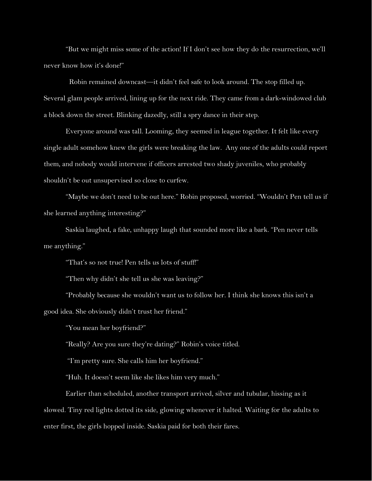"But we might miss some of the action! If I don't see how they do the resurrection, we'll never know how it's done!"

Robin remained downcast—it didn't feel safe to look around. The stop filled up. Several glam people arrived, lining up for the next ride. They came from a dark-windowed club a block down the street. Blinking dazedly, still a spry dance in their step.

Everyone around was tall. Looming, they seemed in league together. It felt like every single adult somehow knew the girls were breaking the law. Any one of the adults could report them, and nobody would intervene if officers arrested two shady juveniles, who probably shouldn't be out unsupervised so close to curfew.

"Maybe we don't need to be out here." Robin proposed, worried. "Wouldn't Pen tell us if she learned anything interesting?"

Saskia laughed, a fake, unhappy laugh that sounded more like a bark. "Pen never tells me anything."

"That's so not true! Pen tells us lots of stuff!"

"Then why didn't she tell us she was leaving?"

"Probably because she wouldn't want us to follow her. I think she knows this isn't a good idea. She obviously didn't trust her friend."

"You mean her boyfriend?"

"Really? Are you sure they're dating?" Robin's voice titled.

"I'm pretty sure. She calls him her boyfriend."

"Huh. It doesn't seem like she likes him very much."

Earlier than scheduled, another transport arrived, silver and tubular, hissing as it slowed. Tiny red lights dotted its side, glowing whenever it halted. Waiting for the adults to enter first, the girls hopped inside. Saskia paid for both their fares.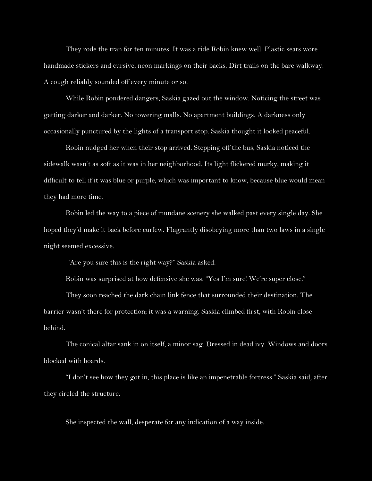They rode the tran for ten minutes. It was a ride Robin knew well. Plastic seats wore handmade stickers and cursive, neon markings on their backs. Dirt trails on the bare walkway. A cough reliably sounded off every minute or so.

While Robin pondered dangers, Saskia gazed out the window. Noticing the street was getting darker and darker. No towering malls. No apartment buildings. A darkness only occasionally punctured by the lights of a transport stop. Saskia thought it looked peaceful.

Robin nudged her when their stop arrived. Stepping off the bus, Saskia noticed the sidewalk wasn't as soft as it was in her neighborhood. Its light flickered murky, making it difficult to tell if it was blue or purple, which was important to know, because blue would mean they had more time.

Robin led the way to a piece of mundane scenery she walked past every single day. She hoped they'd make it back before curfew. Flagrantly disobeying more than two laws in a single night seemed excessive.

"Are you sure this is the right way?" Saskia asked.

Robin was surprised at how defensive she was. "Yes I'm sure! We're super close."

They soon reached the dark chain link fence that surrounded their destination. The barrier wasn't there for protection; it was a warning. Saskia climbed first, with Robin close behind.

The conical altar sank in on itself, a minor sag. Dressed in dead ivy. Windows and doors blocked with boards.

"I don't see how they got in, this place is like an impenetrable fortress." Saskia said, after they circled the structure.

She inspected the wall, desperate for any indication of a way inside.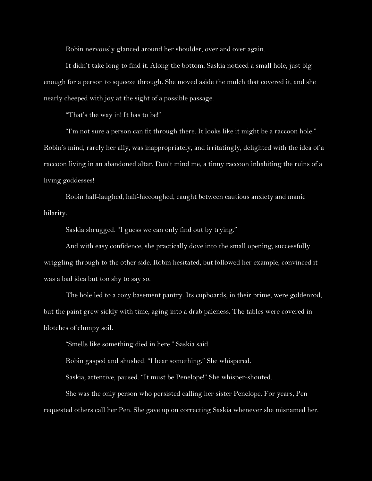Robin nervously glanced around her shoulder, over and over again.

It didn't take long to find it. Along the bottom, Saskia noticed a small hole, just big enough for a person to squeeze through. She moved aside the mulch that covered it, and she nearly cheeped with joy at the sight of a possible passage.

"That's the way in! It has to be!"

"I'm not sure a person can fit through there. It looks like it might be a raccoon hole." Robin's mind, rarely her ally, was inappropriately, and irritatingly, delighted with the idea of a raccoon living in an abandoned altar. Don't mind me, a tinny raccoon inhabiting the ruins of a living goddesses!

Robin half-laughed, half-hiccoughed, caught between cautious anxiety and manic hilarity.

Saskia shrugged. "I guess we can only find out by trying."

And with easy confidence, she practically dove into the small opening, successfully wriggling through to the other side. Robin hesitated, but followed her example, convinced it was a bad idea but too shy to say so.

The hole led to a cozy basement pantry. Its cupboards, in their prime, were goldenrod, but the paint grew sickly with time, aging into a drab paleness. The tables were covered in blotches of clumpy soil.

"Smells like something died in here." Saskia said.

Robin gasped and shushed. "I hear something." She whispered.

Saskia, attentive, paused. "It must be Penelope!" She whisper-shouted.

She was the only person who persisted calling her sister Penelope. For years, Pen requested others call her Pen. She gave up on correcting Saskia whenever she misnamed her.